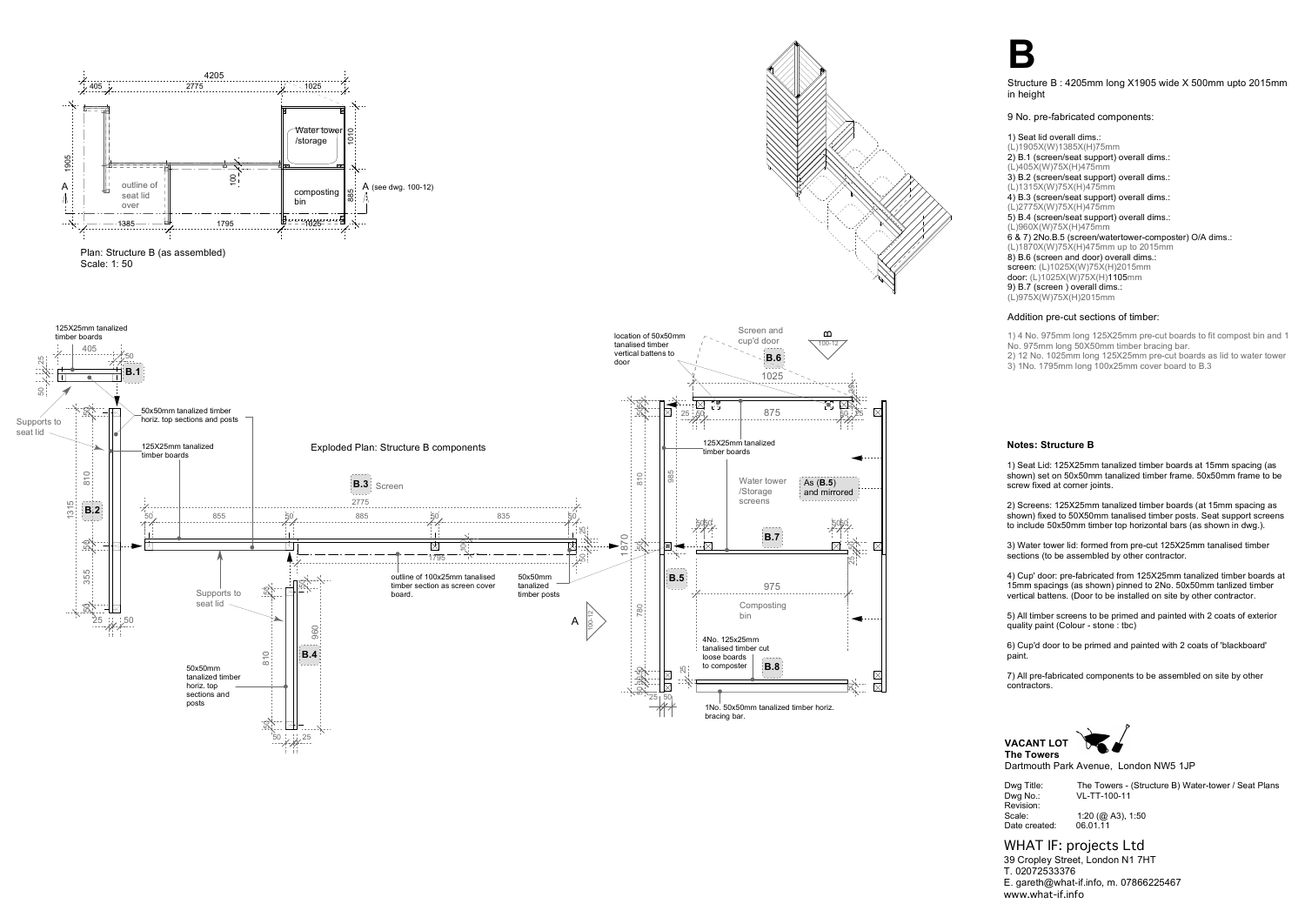

Dwg Title: The Towers - (Structure B) Water-tower / Seat Plans Dwg No.: VL-TT-100-11

Revision: Date created:

Scale: 1:20 (@ A3), 1:50<br>Date created: 06.01.11

**VACANT LOT**

**The Towers**

Dartmouth Park Avenue, London NW5 1JP

WHAT IF: projects Ltd 39 Cropley Street, London N1 7HT T. 02072533376 E. gareth@what-if.info, m. 07866225467 www.what-if.info

3) Water tower lid: formed from pre-cut 125X25mm tanalised timber sections (to be assembled by other contractor.



Structure B : 4205mm long X1905 wide X 500mm upto 2015mm in height

9 No. pre-fabricated components:

1) Seat lid overall dims.: (L)1905X(W)1385X(H)75mm 2) B.1 (screen/seat support) overall dims.: (L)405X(W)75X(H)475mm 3) B.2 (screen/seat support) overall dims.: (L)1315X(W)75X(H)475mm 4) B.3 (screen/seat support) overall dims.: (L)2775X(W)75X(H)475mm 5) B.4 (screen/seat support) overall dims.: (L)960X(W)75X(H)475mm 6 & 7) 2No.B.5 (screen/watertower-composter) O/A dims.: (L)1870X(W)75X(H)475mm up to 2015mm 8) B.6 (screen and door) overall dims.: screen: (L)1025X(W)75X(H)2015mm door: (L)1025X(W)75X(H)1105mm 9) B.7 (screen ) overall dims.: (L)975X(W)75X(H)2015mm

## Addition pre-cut sections of timber:

1) 4 No. 975mm long 125X25mm pre-cut boards to fit compost bin and 1 No. 975mm long 50X50mm timber bracing bar.

2) 12 No. 1025mm long 125X25mm pre-cut boards as lid to water tower 3) 1No. 1795mm long 100x25mm cover board to B.3

## **Notes: Structure B**

1) Seat Lid: 125X25mm tanalized timber boards at 15mm spacing (as shown) set on 50x50mm tanalized timber frame. 50x50mm frame to be screw fixed at corner joints.

2) Screens: 125X25mm tanalized timber boards (at 15mm spacing as shown) fixed to 50X50mm tanalised timber posts. Seat support screens to include 50x50mm timber top horizontal bars (as shown in dwg.).

4) Cup' door: pre-fabricated from 125X25mm tanalized timber boards at 15mm spacings (as shown) pinned to 2No. 50x50mm tanlized timber vertical battens. (Door to be installed on site by other contractor.

5) All timber screens to be primed and painted with 2 coats of exterior quality paint (Colour - stone : tbc)

6) Cup'd door to be primed and painted with 2 coats of 'blackboard' paint.

7) All pre-fabricated components to be assembled on site by other contractors.